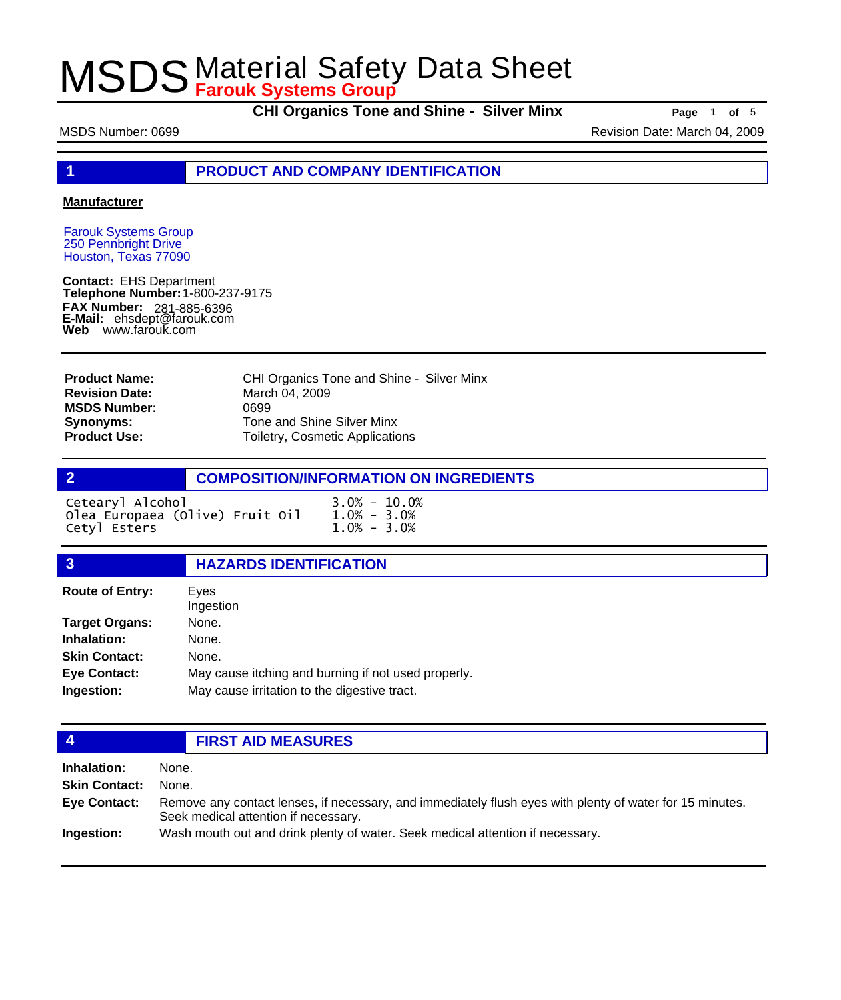**CHI Organics Tone and Shine - Silver Minx Page** <sup>1</sup> **of** <sup>5</sup>

MSDS Number: 0699 **Revision Date: March 04, 2009** Revision Date: March 04, 2009

**1 PRODUCT AND COMPANY IDENTIFICATION**

### **Manufacturer**

Farouk Systems Group 250 Pennbright Drive Houston, Texas 77090

**Contact:** EHS Department **Telephone Number:** 1-800-237-9175 **FAX Number: FAX Number:** 281-885-6396<br>**E-Mail:** ehsdept@farouk.com **Web** www.farouk.com

CHI Organics Tone and Shine - Silver Minx March 04, 2009 0699 Tone and Shine Silver Minx Toiletry, Cosmetic Applications **Product Name: Revision Date: MSDS Number: Synonyms: Product Use:**

## **2 COMPOSITION/INFORMATION ON INGREDIENTS**

| Cetearyl Alcohol                | $3.0\% - 10.0\%$ |
|---------------------------------|------------------|
| Olea Europaea (Olive) Fruit Oil | $1.0\% - 3.0\%$  |
| Cetyl Esters                    | $1.0\% - 3.0\%$  |

## **3 HAZARDS IDENTIFICATION**

| <b>Route of Entry:</b> | Eves<br>Ingestion                                   |
|------------------------|-----------------------------------------------------|
| <b>Target Organs:</b>  | None.                                               |
| Inhalation:            | None.                                               |
| <b>Skin Contact:</b>   | None.                                               |
| <b>Eye Contact:</b>    | May cause itching and burning if not used properly. |
| Ingestion:             | May cause irritation to the digestive tract.        |

## **4 FIRST AID MEASURES**

**Inhalation:** None. **Skin Contact:** None. Remove any contact lenses, if necessary, and immediately flush eyes with plenty of water for 15 minutes. Seek medical attention if necessary. **Eye Contact: Ingestion:** Wash mouth out and drink plenty of water. Seek medical attention if necessary.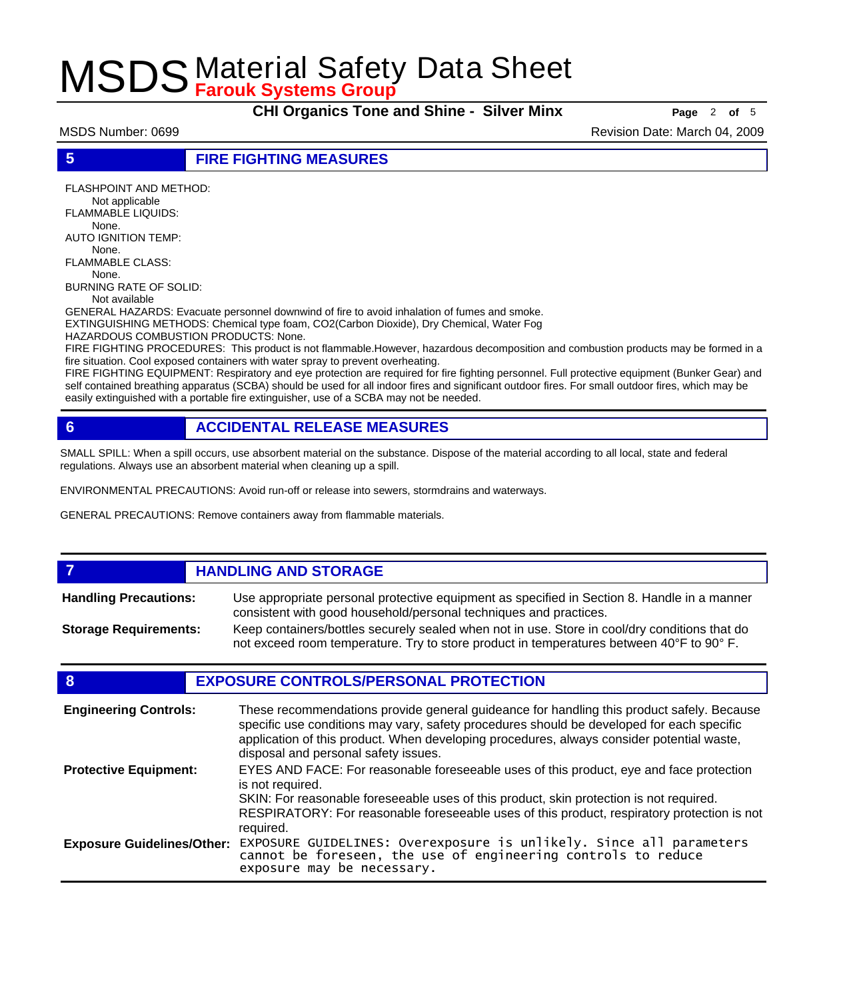**CHI Organics Tone and Shine - Silver Minx Page** <sup>2</sup> **of** <sup>5</sup>

MSDS Number: 0699 **Revision Date: March 04, 2009** Revision Date: March 04, 2009

**5 FIRE FIGHTING MEASURES**

FLASHPOINT AND METHOD: Not applicable FLAMMABLE LIQUIDS: None. AUTO IGNITION TEMP: None. FLAMMABLE CLASS: None. BURNING RATE OF SOLID:

Not available

GENERAL HAZARDS: Evacuate personnel downwind of fire to avoid inhalation of fumes and smoke. EXTINGUISHING METHODS: Chemical type foam, CO2(Carbon Dioxide), Dry Chemical, Water Fog

HAZARDOUS COMBUSTION PRODUCTS: None.

FIRE FIGHTING PROCEDURES: This product is not flammable.However, hazardous decomposition and combustion products may be formed in a fire situation. Cool exposed containers with water spray to prevent overheating.

FIRE FIGHTING EQUIPMENT: Respiratory and eye protection are required for fire fighting personnel. Full protective equipment (Bunker Gear) and self contained breathing apparatus (SCBA) should be used for all indoor fires and significant outdoor fires. For small outdoor fires, which may be easily extinguished with a portable fire extinguisher, use of a SCBA may not be needed.

## **6 ACCIDENTAL RELEASE MEASURES**

SMALL SPILL: When a spill occurs, use absorbent material on the substance. Dispose of the material according to all local, state and federal regulations. Always use an absorbent material when cleaning up a spill.

ENVIRONMENTAL PRECAUTIONS: Avoid run-off or release into sewers, stormdrains and waterways.

GENERAL PRECAUTIONS: Remove containers away from flammable materials.

### *HANDLING AND STORAGE* Use appropriate personal protective equipment as specified in Section 8. Handle in a manner consistent with good household/personal techniques and practices. **Handling Precautions:** Keep containers/bottles securely sealed when not in use. Store in cool/dry conditions that do not exceed room temperature. Try to store product in temperatures between 40°F to 90° F. **Storage Requirements:**

## **8 EXPOSURE CONTROLS/PERSONAL PROTECTION**

| <b>Engineering Controls:</b>      | These recommendations provide general guideance for handling this product safely. Because<br>specific use conditions may vary, safety procedures should be developed for each specific<br>application of this product. When developing procedures, always consider potential waste,<br>disposal and personal safety issues. |
|-----------------------------------|-----------------------------------------------------------------------------------------------------------------------------------------------------------------------------------------------------------------------------------------------------------------------------------------------------------------------------|
| <b>Protective Equipment:</b>      | EYES AND FACE: For reasonable foreseeable uses of this product, eye and face protection<br>is not required.<br>SKIN: For reasonable foreseeable uses of this product, skin protection is not required.<br>RESPIRATORY: For reasonable foreseeable uses of this product, respiratory protection is not<br>required.          |
| <b>Exposure Guidelines/Other:</b> | EXPOSURE GUIDELINES: Overexposure is unlikely. Since all parameters cannot be foreseen, the use of engineering controls to reduce<br>exposure may be necessary.                                                                                                                                                             |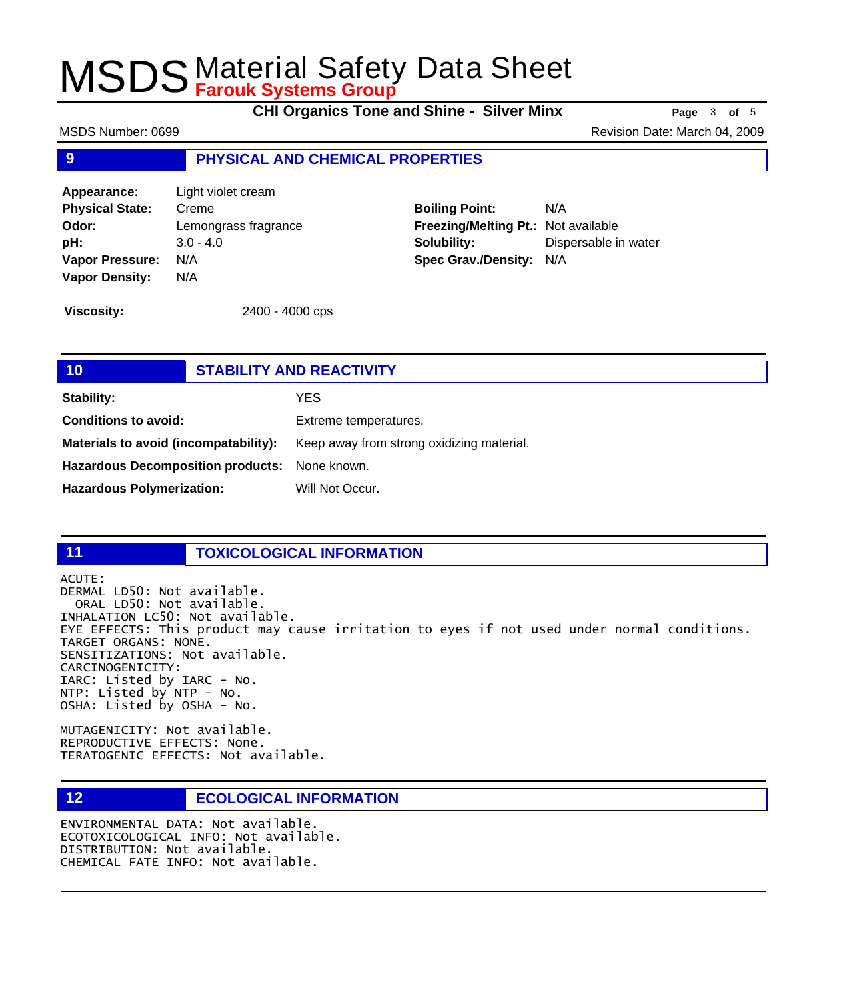**CHI Organics Tone and Shine - Silver Minx Page** <sup>3</sup> **of** <sup>5</sup>

MSDS Number: 0699 **Revision Date: March 04, 2009** Revision Date: March 04, 2009

## **9 PHYSICAL AND CHEMICAL PROPERTIES**

**Appearance:** Light violet cream **Physical State:** Creme **Odor:** Lemongrass fragrance **pH:** 3.0 - 4.0 **Vapor Pressure:** N/A **Vapor Density:** N/A

**Boiling Point:** N/A **Freezing/Melting Pt.:** Not available **Solubility:** Dispersable in water **Spec Grav./Density:** N/A

**Viscosity:** 2400 - 4000 cps

## **10 STABILITY AND REACTIVITY Stability:** YES **Conditions to avoid:** Extreme temperatures. Materials to avoid (incompatability): Keep away from strong oxidizing material. **Hazardous Decomposition products:** None known. Hazardous Polymerization: Will Not Occur.

### **11 TOXICOLOGICAL INFORMATION**

ACUTE:

DERMAL LD50: Not available. ORAL LD50: Not available. INHALATION LC50: Not available. EYE EFFECTS: This product may cause irritation to eyes if not used under normal conditions. TARGET ORGANS: NONE. SENSITIZATIONS: Not available. CARCINOGENICITY: IARC: Listed by IARC - No. NTP: Listed by NTP - No. OSHA: Listed by OSHA - No.

MUTAGENICITY: Not available. REPRODUCTIVE EFFECTS: None. TERATOGENIC EFFECTS: Not available.

## **12 ECOLOGICAL INFORMATION**

ENVIRONMENTAL DATA: Not available. ECOTOXICOLOGICAL INFO: Not available. DISTRIBUTION: Not available. CHEMICAL FATE INFO: Not available.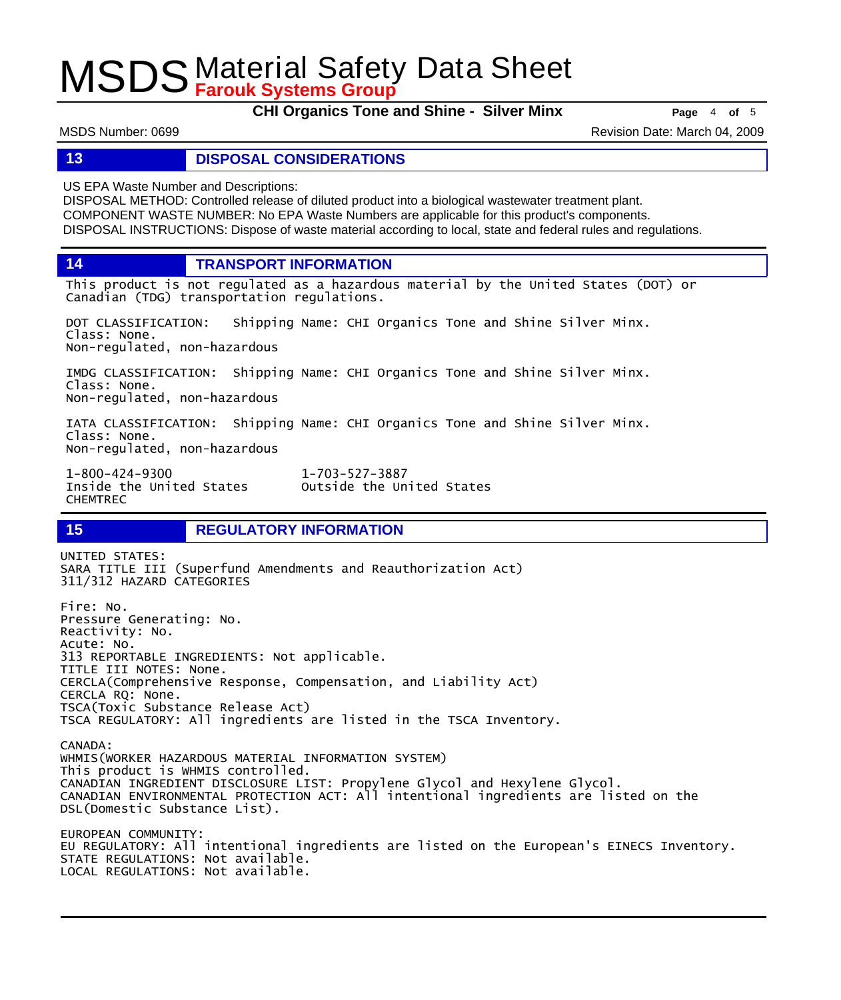**CHI Organics Tone and Shine - Silver Minx Page** <sup>4</sup> **of** <sup>5</sup>

MSDS Number: 0699 **Revision Date: March 04, 2009** Revision Date: March 04, 2009

## **13 DISPOSAL CONSIDERATIONS**

US EPA Waste Number and Descriptions:

DISPOSAL METHOD: Controlled release of diluted product into a biological wastewater treatment plant. COMPONENT WASTE NUMBER: No EPA Waste Numbers are applicable for this product's components. DISPOSAL INSTRUCTIONS: Dispose of waste material according to local, state and federal rules and regulations.

**14 TRANSPORT INFORMATION**

This product is not regulated as a hazardous material by the United States (DOT) or Canadian (TDG) transportation regulations.

DOT CLASSIFICATION: Shipping Name: CHI Organics Tone and Shine Silver Minx. Class: None. Non-regulated, non-hazardous

IMDG CLASSIFICATION: Shipping Name: CHI Organics Tone and Shine Silver Minx. Class: None. Non-regulated, non-hazardous

IATA CLASSIFICATION: Shipping Name: CHI Organics Tone and Shine Silver Minx. Class: None. Non-regulated, non-hazardous

1-800-424-9300 1-703-527-3887 CHEMTREC

Outside the United States

## **15 REGULATORY INFORMATION**

UNITED STATES: SARA TITLE III (Superfund Amendments and Reauthorization Act) 311/312 HAZARD CATEGORIES Fire: No. Pressure Generating: No. Reactivity: No. Acute: No. 313 REPORTABLE INGREDIENTS: Not applicable. TITLE III NOTES: None. CERCLA(Comprehensive Response, Compensation, and Liability Act) CERCLA RQ: None. TSCA(Toxic Substance Release Act) TSCA REGULATORY: All ingredients are listed in the TSCA Inventory. CANADA: WHMIS(WORKER HAZARDOUS MATERIAL INFORMATION SYSTEM) This product is WHMIS controlled. CANADIAN INGREDIENT DISCLOSURE LIST: Propylene Glycol and Hexylene Glycol. CANADIAN ENVIRONMENTAL PROTECTION ACT: All intentional ingredients are listed on the DSL(Domestic Substance List). EUROPEAN COMMUNITY: EU REGULATORY: All intentional ingredients are listed on the European's EINECS Inventory. STATE REGULATIONS: Not available. LOCAL REGULATIONS: Not available.